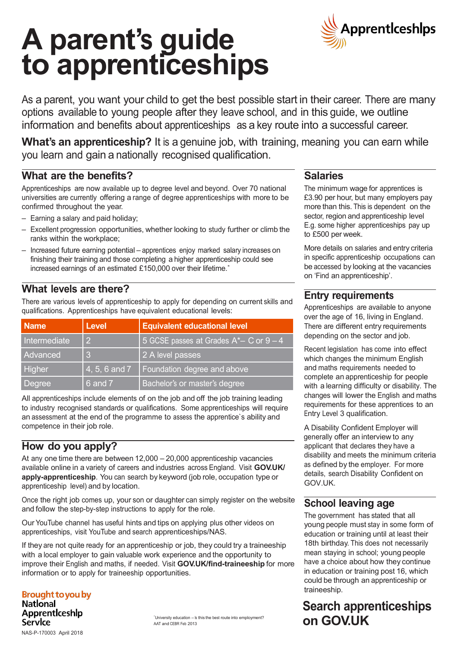# **A parent's guide to apprenticeships**



As a parent, you want your child to get the best possible start in their career. There are many options available to young people after they leave school, and in this guide, we outline information and benefits about apprenticeships as a key route into a successful career.

**What's an apprenticeship?** It is a genuine job, with training, meaning you can earn while you learn and gain a nationally recognised qualification.

#### **What are the benefits?**

Apprenticeships are now available up to degree level and beyond. Over 70 national universities are currently offering a range of degree apprenticeships with more to be confirmed throughout the year.

- Earning a salary and paid holiday;
- Excellent progression opportunities, whether looking to study further or climb the ranks within the workplace;
- Increased future earning potential apprentices enjoy marked salary increases on finishing their training and those completing a higher apprenticeship could see increased earnings of an estimated £150,000 over their lifetime.<sup>\*</sup>

#### **What levels are there?**

There are various levels of apprenticeship to apply for depending on current skills and qualifications. Apprenticeships have equivalent educational levels:

| <b>Name</b>   | <b>Level</b>               | <b>Equivalent educational level</b>       |
|---------------|----------------------------|-------------------------------------------|
| Intermediate  | $\overline{2}$             | 5 GCSE passes at Grades $A^*-$ C or $9-4$ |
| Advanced      | 3                          | 2 A level passes                          |
| <b>Higher</b> | $(4, 5, 6 \text{ and } 7)$ | Foundation degree and above               |
| Degree        | 6 and 7                    | Bachelor's or master's degree             |

All apprenticeships include elements of on the job and off the job training leading to industry recognised standards or qualifications. Some apprenticeships will require an assessment at the end of the programme to assess the apprentice`s ability and competence in their job role.

#### **How do you apply?**

At any one time there are between 12,000 – 20,000 apprenticeship vacancies available online in a variety of careers and industries across England. Visit **GOV.UK/ apply-apprenticeship**. You can search by keyword (job role, occupation type or apprenticeship level) and by location.

Once the right job comes up, your son or daughter can simply register on the website and follow the step-by-step instructions to apply for the role.

Our YouTube channel has useful hints and tips on applying plus other videos on apprenticeships, visit YouTube and search apprenticeships/NAS.

If they are not quite ready for an apprenticeship or job, they could try a traineeship with a local employer to gain valuable work experience and the opportunity to improve their English and maths, if needed. Visit **GOV.UK/find-traineeship** for more information or to apply for traineeship opportunities.

**Brought to you by National** Apprenticeship Service NAS-P-170003 April 2018

#### **Salaries**

The minimum wage for apprentices is £3.90 per hour, but many employers pay more than this. This is dependent on the sector, region and apprenticeship level E.g. some higher apprenticeships pay up to £500 per week.

More details on salaries and entry criteria in specific apprenticeship occupations can be accessed by looking at the vacancies on 'Find an apprenticeship'.

#### **Entry requirements**

Apprenticeships are available to anyone over the age of 16, living in England. There are different entry requirements depending on the sector and job.

Recent legislation has come into effect which changes the minimum English and maths requirements needed to complete an apprenticeship for people with a learning difficulty or disability. The changes will lower the English and maths requirements for these apprentices to an Entry Level 3 qualification.

A Disability Confident Employer will generally offer an interview to any applicant that declares they have a disability and meets the minimum criteria as defined by the employer. For more details, search Disability Confident on GOV.UK.

#### **School leaving age**

The government has stated that all young people must stay in some form of education or training until at least their 18th birthday. This does not necessarily mean staying in school; young people have a choice about how they continue in education or training post 16, which could be through an apprenticeship or traineeship.

### **Search apprenticeships on GOV.UK**